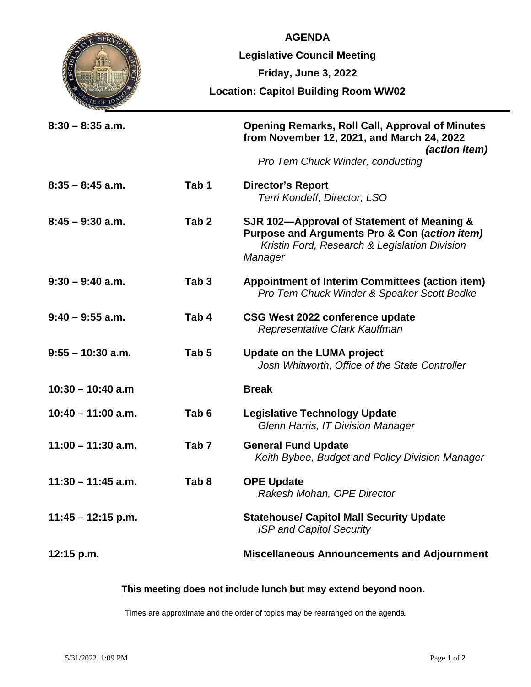|                      | <b>AGENDA</b>                               |                                                                                                                                                         |
|----------------------|---------------------------------------------|---------------------------------------------------------------------------------------------------------------------------------------------------------|
|                      | <b>Legislative Council Meeting</b>          |                                                                                                                                                         |
|                      | Friday, June 3, 2022                        |                                                                                                                                                         |
|                      | <b>Location: Capitol Building Room WW02</b> |                                                                                                                                                         |
| $8:30 - 8:35$ a.m.   |                                             | <b>Opening Remarks, Roll Call, Approval of Minutes</b><br>from November 12, 2021, and March 24, 2022<br>(action item)                                   |
|                      |                                             | Pro Tem Chuck Winder, conducting                                                                                                                        |
| $8:35 - 8:45$ a.m.   | Tab <sub>1</sub>                            | <b>Director's Report</b><br>Terri Kondeff, Director, LSO                                                                                                |
| $8:45 - 9:30$ a.m.   | Tab <sub>2</sub>                            | SJR 102-Approval of Statement of Meaning &<br>Purpose and Arguments Pro & Con (action item)<br>Kristin Ford, Research & Legislation Division<br>Manager |
| $9:30 - 9:40$ a.m.   | Tab <sub>3</sub>                            | <b>Appointment of Interim Committees (action item)</b><br>Pro Tem Chuck Winder & Speaker Scott Bedke                                                    |
| $9:40 - 9:55$ a.m.   | Tab 4                                       | CSG West 2022 conference update<br>Representative Clark Kauffman                                                                                        |
| $9:55 - 10:30$ a.m.  | Tab <sub>5</sub>                            | <b>Update on the LUMA project</b><br>Josh Whitworth, Office of the State Controller                                                                     |
| $10:30 - 10:40$ a.m  |                                             | <b>Break</b>                                                                                                                                            |
| $10:40 - 11:00$ a.m. | Tab 6                                       | <b>Legislative Technology Update</b><br>Glenn Harris, IT Division Manager                                                                               |
| $11:00 - 11:30$ a.m. | Tab <sub>7</sub>                            | <b>General Fund Update</b><br>Keith Bybee, Budget and Policy Division Manager                                                                           |
| $11:30 - 11:45$ a.m. | Tab <sub>8</sub>                            | <b>OPE Update</b><br>Rakesh Mohan, OPE Director                                                                                                         |
| $11:45 - 12:15$ p.m. |                                             | <b>Statehouse/ Capitol Mall Security Update</b><br><b>ISP and Capitol Security</b>                                                                      |
| 12:15 p.m.           |                                             | <b>Miscellaneous Announcements and Adjournment</b>                                                                                                      |

## **This meeting does not include lunch but may extend beyond noon.**

Times are approximate and the order of topics may be rearranged on the agenda.